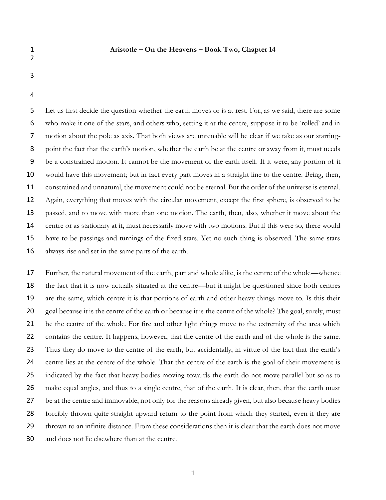## **Aristotle – On the Heavens – Book Two, Chapter 14**

- 
- 

 Let us first decide the question whether the earth moves or is at rest. For, as we said, there are some who make it one of the stars, and others who, setting it at the centre, suppose it to be 'rolled' and in motion about the pole as axis. That both views are untenable will be clear if we take as our starting-8 point the fact that the earth's motion, whether the earth be at the centre or away from it, must needs be a constrained motion. It cannot be the movement of the earth itself. If it were, any portion of it would have this movement; but in fact every part moves in a straight line to the centre. Being, then, constrained and unnatural, the movement could not be eternal. But the order of the universe is eternal. Again, everything that moves with the circular movement, except the first sphere, is observed to be passed, and to move with more than one motion. The earth, then, also, whether it move about the centre or as stationary at it, must necessarily move with two motions. But if this were so, there would have to be passings and turnings of the fixed stars. Yet no such thing is observed. The same stars always rise and set in the same parts of the earth.

 Further, the natural movement of the earth, part and whole alike, is the centre of the whole—whence the fact that it is now actually situated at the centre—but it might be questioned since both centres are the same, which centre it is that portions of earth and other heavy things move to. Is this their 20 goal because it is the centre of the earth or because it is the centre of the whole? The goal, surely, must be the centre of the whole. For fire and other light things move to the extremity of the area which contains the centre. It happens, however, that the centre of the earth and of the whole is the same. Thus they do move to the centre of the earth, but accidentally, in virtue of the fact that the earth's centre lies at the centre of the whole. That the centre of the earth is the goal of their movement is indicated by the fact that heavy bodies moving towards the earth do not move parallel but so as to 26 make equal angles, and thus to a single centre, that of the earth. It is clear, then, that the earth must be at the centre and immovable, not only for the reasons already given, but also because heavy bodies forcibly thrown quite straight upward return to the point from which they started, even if they are thrown to an infinite distance. From these considerations then it is clear that the earth does not move and does not lie elsewhere than at the centre.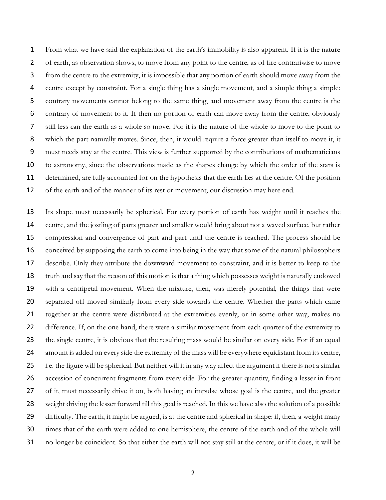From what we have said the explanation of the earth's immobility is also apparent. If it is the nature of earth, as observation shows, to move from any point to the centre, as of fire contrariwise to move from the centre to the extremity, it is impossible that any portion of earth should move away from the centre except by constraint. For a single thing has a single movement, and a simple thing a simple: contrary movements cannot belong to the same thing, and movement away from the centre is the contrary of movement to it. If then no portion of earth can move away from the centre, obviously still less can the earth as a whole so move. For it is the nature of the whole to move to the point to which the part naturally moves. Since, then, it would require a force greater than itself to move it, it must needs stay at the centre. This view is further supported by the contributions of mathematicians to astronomy, since the observations made as the shapes change by which the order of the stars is determined, are fully accounted for on the hypothesis that the earth lies at the centre. Of the position of the earth and of the manner of its rest or movement, our discussion may here end.

 Its shape must necessarily be spherical. For every portion of earth has weight until it reaches the centre, and the jostling of parts greater and smaller would bring about not a waved surface, but rather compression and convergence of part and part until the centre is reached. The process should be conceived by supposing the earth to come into being in the way that some of the natural philosophers describe. Only they attribute the downward movement to constraint, and it is better to keep to the truth and say that the reason of this motion is that a thing which possesses weight is naturally endowed with a centripetal movement. When the mixture, then, was merely potential, the things that were separated off moved similarly from every side towards the centre. Whether the parts which came together at the centre were distributed at the extremities evenly, or in some other way, makes no difference. If, on the one hand, there were a similar movement from each quarter of the extremity to the single centre, it is obvious that the resulting mass would be similar on every side. For if an equal amount is added on every side the extremity of the mass will be everywhere equidistant from its centre, i.e. the figure will be spherical. But neither will it in any way affect the argument if there is not a similar accession of concurrent fragments from every side. For the greater quantity, finding a lesser in front of it, must necessarily drive it on, both having an impulse whose goal is the centre, and the greater weight driving the lesser forward till this goal is reached. In this we have also the solution of a possible difficulty. The earth, it might be argued, is at the centre and spherical in shape: if, then, a weight many times that of the earth were added to one hemisphere, the centre of the earth and of the whole will no longer be coincident. So that either the earth will not stay still at the centre, or if it does, it will be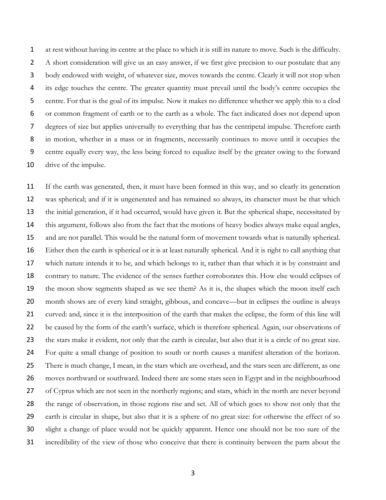at rest without having its centre at the place to which it is still its nature to move. Such is the difficulty. 2 A short consideration will give us an easy answer, if we first give precision to our postulate that any body endowed with weight, of whatever size, moves towards the centre. Clearly it will not stop when its edge touches the centre. The greater quantity must prevail until the body's centre occupies the centre. For that is the goal of its impulse. Now it makes no difference whether we apply this to a clod or common fragment of earth or to the earth as a whole. The fact indicated does not depend upon degrees of size but applies universally to everything that has the centripetal impulse. Therefore earth in motion, whether in a mass or in fragments, necessarily continues to move until it occupies the centre equally every way, the less being forced to equalize itself by the greater owing to the forward drive of the impulse.

 If the earth was generated, then, it must have been formed in this way, and so clearly its generation was spherical; and if it is ungenerated and has remained so always, its character must be that which the initial generation, if it had occurred, would have given it. But the spherical shape, necessitated by this argument, follows also from the fact that the motions of heavy bodies always make equal angles, and are not parallel. This would be the natural form of movement towards what is naturally spherical. Either then the earth is spherical or it is at least naturally spherical. And it is right to call anything that which nature intends it to be, and which belongs to it, rather than that which it is by constraint and contrary to nature. The evidence of the senses further corroborates this. How else would eclipses of the moon show segments shaped as we see them? As it is, the shapes which the moon itself each month shows are of every kind straight, gibbous, and concave—but in eclipses the outline is always curved: and, since it is the interposition of the earth that makes the eclipse, the form of this line will be caused by the form of the earth's surface, which is therefore spherical. Again, our observations of the stars make it evident, not only that the earth is circular, but also that it is a circle of no great size. For quite a small change of position to south or north causes a manifest alteration of the horizon. 25 There is much change, I mean, in the stars which are overhead, and the stars seen are different, as one moves northward or southward. Indeed there are some stars seen in Egypt and in the neighbourhood of Cyprus which are not seen in the northerly regions; and stars, which in the north are never beyond the range of observation, in those regions rise and set. All of which goes to show not only that the earth is circular in shape, but also that it is a sphere of no great size: for otherwise the effect of so slight a change of place would not be quickly apparent. Hence one should not be too sure of the incredibility of the view of those who conceive that there is continuity between the parts about the